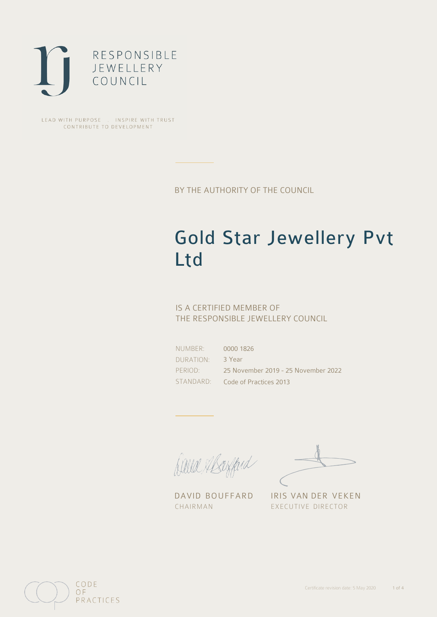

LEAD WITH PURPOSE . INSPIRE WITH TRUST CONTRIBUTE TO DEVELOPMENT

BY THE AUTHORITY OF THE COUNCIL

# Gold Star Jewellery Pvt Ltd

## IS A CERTIFIED MEMBER OF THE RESPONSIBLE JEWELLERY COUNCIL

NUMBER: DURATION: PERIOD: STANDARD:

0000 1826 3 Year 25 November 2019 - 25 November 2022 Code of Practices 2013

Balla Shayfard

DAVID BOUFFARD IRIS VAN DER VEKEN CHAIRMAN EXECUTIVE DIRECTOR

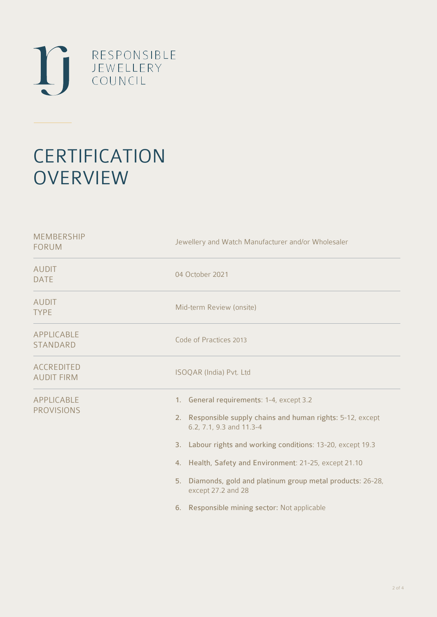

# **CERTIFICATION OVERVIEW**

| <b>MEMBERSHIP</b><br><b>FORUM</b>      | Jewellery and Watch Manufacturer and/or Wholesaler                                                                                                                                                                                                                                                                                                                                                   |
|----------------------------------------|------------------------------------------------------------------------------------------------------------------------------------------------------------------------------------------------------------------------------------------------------------------------------------------------------------------------------------------------------------------------------------------------------|
| <b>AUDIT</b><br><b>DATE</b>            | 04 October 2021                                                                                                                                                                                                                                                                                                                                                                                      |
| <b>AUDIT</b><br><b>TYPE</b>            | Mid-term Review (onsite)                                                                                                                                                                                                                                                                                                                                                                             |
| <b>APPLICABLE</b><br><b>STANDARD</b>   | Code of Practices 2013                                                                                                                                                                                                                                                                                                                                                                               |
| <b>ACCREDITED</b><br><b>AUDIT FIRM</b> | ISOQAR (India) Pvt. Ltd                                                                                                                                                                                                                                                                                                                                                                              |
| APPLICABLE<br><b>PROVISIONS</b>        | 1. General requirements: 1-4, except 3.2<br>2. Responsible supply chains and human rights: 5-12, except<br>6.2, 7.1, 9.3 and 11.3-4<br>3. Labour rights and working conditions: 13-20, except 19.3<br>4. Health, Safety and Environment: 21-25, except 21.10<br>Diamonds, gold and platinum group metal products: 26-28,<br>5.<br>except 27.2 and 28<br>6. Responsible mining sector: Not applicable |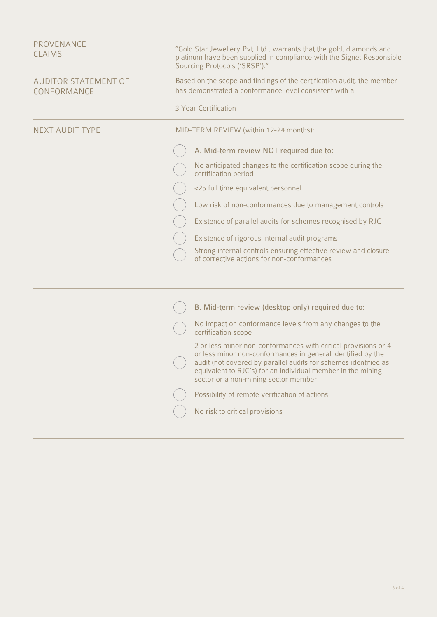| <b>PROVENANCE</b><br><b>CLAIMS</b>         | "Gold Star Jewellery Pvt. Ltd., warrants that the gold, diamonds and<br>platinum have been supplied in compliance with the Signet Responsible<br>Sourcing Protocols ('SRSP')."                                                                                                                          |
|--------------------------------------------|---------------------------------------------------------------------------------------------------------------------------------------------------------------------------------------------------------------------------------------------------------------------------------------------------------|
| <b>AUDITOR STATEMENT OF</b><br>CONFORMANCE | Based on the scope and findings of the certification audit, the member<br>has demonstrated a conformance level consistent with a:                                                                                                                                                                       |
|                                            | 3 Year Certification                                                                                                                                                                                                                                                                                    |
| <b>NEXT AUDIT TYPE</b>                     | MID-TERM REVIEW (within 12-24 months):                                                                                                                                                                                                                                                                  |
|                                            | A. Mid-term review NOT required due to:                                                                                                                                                                                                                                                                 |
|                                            | No anticipated changes to the certification scope during the<br>certification period                                                                                                                                                                                                                    |
|                                            | <25 full time equivalent personnel                                                                                                                                                                                                                                                                      |
|                                            | Low risk of non-conformances due to management controls                                                                                                                                                                                                                                                 |
|                                            | Existence of parallel audits for schemes recognised by RJC                                                                                                                                                                                                                                              |
|                                            | Existence of rigorous internal audit programs                                                                                                                                                                                                                                                           |
|                                            | Strong internal controls ensuring effective review and closure<br>of corrective actions for non-conformances                                                                                                                                                                                            |
|                                            |                                                                                                                                                                                                                                                                                                         |
|                                            | B. Mid-term review (desktop only) required due to:                                                                                                                                                                                                                                                      |
|                                            | No impact on conformance levels from any changes to the<br>certification scope                                                                                                                                                                                                                          |
|                                            | 2 or less minor non-conformances with critical provisions or 4<br>or less minor non-conformances in general identified by the<br>audit (not covered by parallel audits for schemes identified as<br>equivalent to RJC's) for an individual member in the mining<br>sector or a non-mining sector member |
|                                            | Possibility of remote verification of actions                                                                                                                                                                                                                                                           |
|                                            | No risk to critical provisions                                                                                                                                                                                                                                                                          |